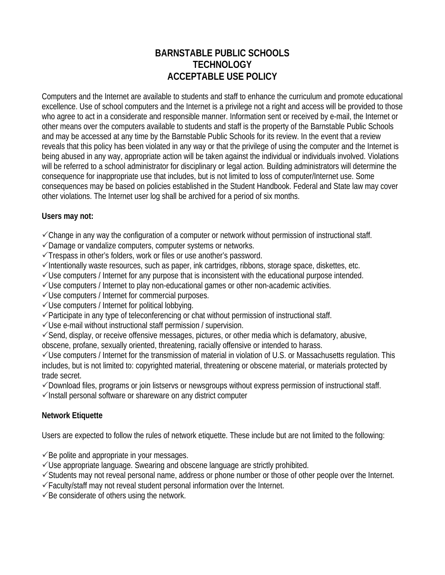## **BARNSTABLE PUBLIC SCHOOLS TECHNOLOGY ACCEPTABLE USE POLICY**

Computers and the Internet are available to students and staff to enhance the curriculum and promote educational excellence. Use of school computers and the Internet is a privilege not a right and access will be provided to those who agree to act in a considerate and responsible manner. Information sent or received by e-mail, the Internet or other means over the computers available to students and staff is the property of the Barnstable Public Schools and may be accessed at any time by the Barnstable Public Schools for its review. In the event that a review reveals that this policy has been violated in any way or that the privilege of using the computer and the Internet is being abused in any way, appropriate action will be taken against the individual or individuals involved. Violations will be referred to a school administrator for disciplinary or legal action. Building administrators will determine the consequence for inappropriate use that includes, but is not limited to loss of computer/Internet use. Some consequences may be based on policies established in the Student Handbook. Federal and State law may cover other violations. The Internet user log shall be archived for a period of six months.

### **Users may not:**

 $\checkmark$  Change in any way the configuration of a computer or network without permission of instructional staff.

 $\checkmark$  Damage or vandalize computers, computer systems or networks.

 $\checkmark$ Trespass in other's folders, work or files or use another's password.

 $\checkmark$ Intentionally waste resources, such as paper, ink cartridges, ribbons, storage space, diskettes, etc.

 $\checkmark$ Use computers / Internet for any purpose that is inconsistent with the educational purpose intended.

 $\checkmark$  Use computers / Internet to play non-educational games or other non-academic activities.

 $\checkmark$ Use computers / Internet for commercial purposes.

 $\checkmark$ Use computers / Internet for political lobbying.

 $\checkmark$  Participate in any type of teleconferencing or chat without permission of instructional staff.

 $\checkmark$ Use e-mail without instructional staff permission / supervision.

 $\checkmark$ Send, display, or receive offensive messages, pictures, or other media which is defamatory, abusive, obscene, profane, sexually oriented, threatening, racially offensive or intended to harass.

 $\checkmark$ Use computers / Internet for the transmission of material in violation of U.S. or Massachusetts regulation. This includes, but is not limited to: copyrighted material, threatening or obscene material, or materials protected by trade secret.

3Download files, programs or join listservs or newsgroups without express permission of instructional staff.

 $\checkmark$  Install personal software or shareware on any district computer

### **Network Etiquette**

Users are expected to follow the rules of network etiquette. These include but are not limited to the following:

 $\checkmark$ Be polite and appropriate in your messages.

 $\checkmark$ Use appropriate language. Swearing and obscene language are strictly prohibited.

 $\checkmark$  Students may not reveal personal name, address or phone number or those of other people over the Internet.

 $\checkmark$  Faculty/staff may not reveal student personal information over the Internet.

 $\checkmark$ Be considerate of others using the network.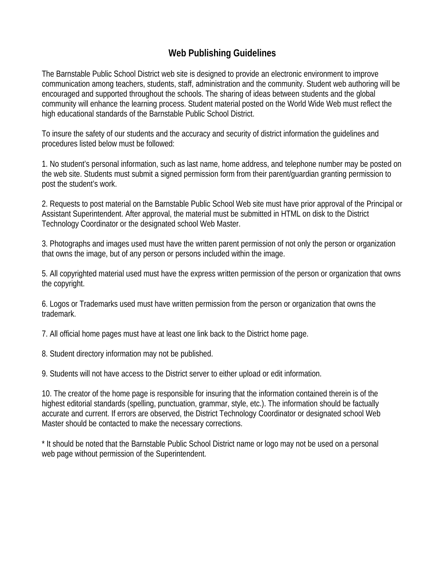## **Web Publishing Guidelines**

The Barnstable Public School District web site is designed to provide an electronic environment to improve communication among teachers, students, staff, administration and the community. Student web authoring will be encouraged and supported throughout the schools. The sharing of ideas between students and the global community will enhance the learning process. Student material posted on the World Wide Web must reflect the high educational standards of the Barnstable Public School District.

To insure the safety of our students and the accuracy and security of district information the guidelines and procedures listed below must be followed:

1. No student's personal information, such as last name, home address, and telephone number may be posted on the web site. Students must submit a signed permission form from their parent/guardian granting permission to post the student's work.

2. Requests to post material on the Barnstable Public School Web site must have prior approval of the Principal or Assistant Superintendent. After approval, the material must be submitted in HTML on disk to the District Technology Coordinator or the designated school Web Master.

3. Photographs and images used must have the written parent permission of not only the person or organization that owns the image, but of any person or persons included within the image.

5. All copyrighted material used must have the express written permission of the person or organization that owns the copyright.

6. Logos or Trademarks used must have written permission from the person or organization that owns the trademark.

7. All official home pages must have at least one link back to the District home page.

8. Student directory information may not be published.

9. Students will not have access to the District server to either upload or edit information.

10. The creator of the home page is responsible for insuring that the information contained therein is of the highest editorial standards (spelling, punctuation, grammar, style, etc.). The information should be factually accurate and current. If errors are observed, the District Technology Coordinator or designated school Web Master should be contacted to make the necessary corrections.

\* It should be noted that the Barnstable Public School District name or logo may not be used on a personal web page without permission of the Superintendent.